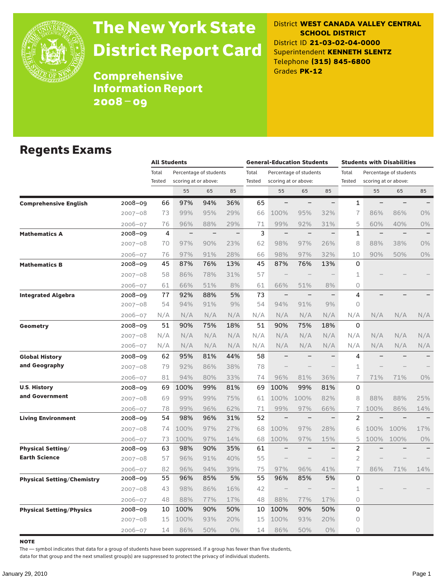

# The New York State District Report Card

District **WEST CANADA VALLEY CENTRAL SCHOOL DISTRICT** District ID **21-03-02-04-0000** Superintendent **KENNETH SLENTZ** Telephone **(315) 845-6800** Grades **PK-12**

**Comprehensive** Information Report 2008–09

### Regents Exams

|                                   |             |        | <b>All Students</b>  |                        |                          |               | <b>General-Education Students</b> |                          |                          | <b>Students with Disabilities</b> |                      |                        |       |
|-----------------------------------|-------------|--------|----------------------|------------------------|--------------------------|---------------|-----------------------------------|--------------------------|--------------------------|-----------------------------------|----------------------|------------------------|-------|
|                                   |             | Total  |                      | Percentage of students |                          | Total         |                                   | Percentage of students   |                          | Total                             |                      | Percentage of students |       |
|                                   |             | Tested | scoring at or above: |                        |                          | <b>Tested</b> |                                   | scoring at or above:     |                          | Tested                            | scoring at or above: |                        |       |
|                                   |             |        | 55                   | 65                     | 85                       |               | 55                                | 65                       | 85                       |                                   | 55                   | 65                     | 85    |
| <b>Comprehensive English</b>      | 2008-09     | 66     | 97%                  | 94%                    | 36%                      | 65            |                                   |                          | $\overline{\phantom{0}}$ | 1                                 | $\qquad \qquad -$    |                        |       |
|                                   | $2007 - 08$ | 73     | 99%                  | 95%                    | 29%                      | 66            | 100%                              | 95%                      | 32%                      | $\overline{1}$                    | 86%                  | 86%                    | $0\%$ |
|                                   | $2006 - 07$ | 76     | 96%                  | 88%                    | 29%                      | 71            | 99%                               | 92%                      | 31%                      | 5                                 | 60%                  | 40%                    | 0%    |
| <b>Mathematics A</b>              | 2008-09     | 4      | $\qquad \qquad -$    | $\qquad \qquad -$      | $\overline{\phantom{0}}$ | 3             | $\overline{\phantom{m}}$          | $\overline{\phantom{0}}$ | $\qquad \qquad -$        | 1                                 | $\qquad \qquad -$    |                        |       |
|                                   | $2007 - 08$ | 70     | 97%                  | 90%                    | 23%                      | 62            | 98%                               | 97%                      | 26%                      | 8                                 | 88%                  | 38%                    | $0\%$ |
|                                   | $2006 - 07$ | 76     | 97%                  | 91%                    | 28%                      | 66            | 98%                               | 97%                      | 32%                      | 10                                | 90%                  | 50%                    | 0%    |
| <b>Mathematics B</b>              | 2008-09     | 45     | 87%                  | 76%                    | 13%                      | 45            | 87%                               | 76%                      | 13%                      | 0                                 |                      |                        |       |
|                                   | $2007 - 08$ | 58     | 86%                  | 78%                    | 31%                      | 57            |                                   |                          |                          | 1                                 |                      |                        |       |
|                                   | $2006 - 07$ | 61     | 66%                  | 51%                    | 8%                       | 61            | 66%                               | 51%                      | 8%                       | 0                                 |                      |                        |       |
| <b>Integrated Algebra</b>         | 2008-09     | 77     | 92%                  | 88%                    | 5%                       | 73            | $\qquad \qquad -$                 | $\overline{\phantom{0}}$ | $\qquad \qquad -$        | 4                                 |                      |                        |       |
|                                   | $2007 - 08$ | 54     | 94%                  | 91%                    | 9%                       | 54            | 94%                               | 91%                      | 9%                       | 0                                 |                      |                        |       |
|                                   | $2006 - 07$ | N/A    | N/A                  | N/A                    | N/A                      | N/A           | N/A                               | N/A                      | N/A                      | N/A                               | N/A                  | N/A                    | N/A   |
| Geometry                          | 2008-09     | 51     | 90%                  | 75%                    | 18%                      | 51            | 90%                               | 75%                      | 18%                      | 0                                 |                      |                        |       |
|                                   | $2007 - 08$ | N/A    | N/A                  | N/A                    | N/A                      | N/A           | N/A                               | N/A                      | N/A                      | N/A                               | N/A                  | N/A                    | N/A   |
|                                   | $2006 - 07$ | N/A    | N/A                  | N/A                    | N/A                      | N/A           | N/A                               | N/A                      | N/A                      | N/A                               | N/A                  | N/A                    | N/A   |
| <b>Global History</b>             | 2008-09     | 62     | 95%                  | 81%                    | 44%                      | 58            |                                   |                          |                          | 4                                 |                      |                        |       |
| and Geography                     | $2007 - 08$ | 79     | 92%                  | 86%                    | 38%                      | 78            |                                   |                          |                          | 1                                 |                      |                        |       |
|                                   | $2006 - 07$ | 81     | 94%                  | 80%                    | 33%                      | 74            | 96%                               | 81%                      | 36%                      | $\overline{1}$                    | 71%                  | 71%                    | $0\%$ |
| <b>U.S. History</b>               | 2008-09     | 69     | 100%                 | 99%                    | 81%                      | 69            | 100%                              | 99%                      | 81%                      | 0                                 |                      |                        |       |
| and Government                    | $2007 - 08$ | 69     | 99%                  | 99%                    | 75%                      | 61            | 100%                              | 100%                     | 82%                      | 8                                 | 88%                  | 88%                    | 25%   |
|                                   | $2006 - 07$ | 78     | 99%                  | 96%                    | 62%                      | 71            | 99%                               | 97%                      | 66%                      | 7                                 | 100%                 | 86%                    | 14%   |
| <b>Living Environment</b>         | 2008-09     | 54     | 98%                  | 96%                    | 31%                      | 52            | $\qquad \qquad -$                 | $\overline{\phantom{a}}$ | $\qquad \qquad -$        | 2                                 |                      | $\qquad \qquad -$      |       |
|                                   | $2007 - 08$ | 74     | 100%                 | 97%                    | 27%                      | 68            | 100%                              | 97%                      | 28%                      | 6                                 | 100%                 | 100%                   | 17%   |
|                                   | $2006 - 07$ | 73     | 100%                 | 97%                    | 14%                      | 68            | 100%                              | 97%                      | 15%                      | 5                                 | 100%                 | 100%                   | 0%    |
| <b>Physical Setting/</b>          | 2008-09     | 63     | 98%                  | 90%                    | 35%                      | 61            |                                   |                          |                          | $\overline{\mathbf{c}}$           |                      |                        |       |
| <b>Earth Science</b>              | $2007 - 08$ | 57     | 96%                  | 91%                    | 40%                      | 55            |                                   |                          |                          | $\overline{2}$                    |                      |                        |       |
|                                   | $2006 - 07$ | 82     | 96%                  | 94%                    | 39%                      | 75            | 97%                               | 96%                      | 41%                      | $\overline{1}$                    | 86%                  | 71%                    | 14%   |
| <b>Physical Setting/Chemistry</b> | 2008-09     | 55     | 96%                  | 85%                    | 5%                       | 55            | 96%                               | 85%                      | 5%                       | 0                                 |                      |                        |       |
|                                   | $2007 - 08$ | 43     | 98%                  | 86%                    | 16%                      | 42            |                                   |                          |                          | 1                                 |                      |                        |       |
|                                   | $2006 - 07$ | 48     | 88%                  | 77%                    | 17%                      | 48            | 88%                               | 77%                      | 17%                      | 0                                 |                      |                        |       |
| <b>Physical Setting/Physics</b>   | 2008-09     | 10     | 100%                 | 90%                    | 50%                      | 10            | 100%                              | 90%                      | 50%                      | 0                                 |                      |                        |       |
|                                   | $2007 - 08$ | 15     | 100%                 | 93%                    | 20%                      | 15            | 100%                              | 93%                      | 20%                      | 0                                 |                      |                        |       |
|                                   | $2006 - 07$ | 14     | 86%                  | 50%                    | 0%                       | 14            | 86%                               | 50%                      | $0\%$                    | 0                                 |                      |                        |       |

note

The — symbol indicates that data for a group of students have been suppressed. If a group has fewer than five students,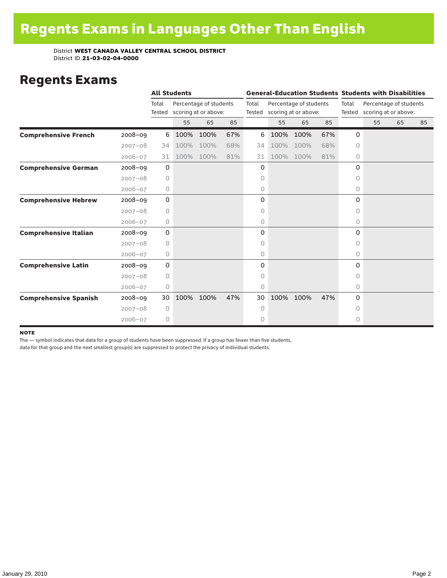### Regents Exams

|                              |             | <b>All Students</b> |      |                                                |     |                 |      |                                                |     | <b>General-Education Students Students with Disabilities</b> |                                                |    |    |
|------------------------------|-------------|---------------------|------|------------------------------------------------|-----|-----------------|------|------------------------------------------------|-----|--------------------------------------------------------------|------------------------------------------------|----|----|
|                              |             | Total<br>Tested     |      | Percentage of students<br>scoring at or above: |     | Total<br>Tested |      | Percentage of students<br>scoring at or above: |     | Total<br>Tested                                              | Percentage of students<br>scoring at or above: |    |    |
|                              |             |                     | 55   | 65                                             | 85  |                 | 55   | 65                                             | 85  |                                                              | 55                                             | 65 | 85 |
| <b>Comprehensive French</b>  | $2008 - 09$ | 6                   | 100% | 100%                                           | 67% | 6               | 100% | 100%                                           | 67% | 0                                                            |                                                |    |    |
|                              | $2007 - 08$ | 34                  | 100% | 100%                                           | 68% | 34              | 100% | 100%                                           | 68% | 0                                                            |                                                |    |    |
|                              | $2006 - 07$ | 31                  | 100% | 100%                                           | 81% | 31              | 100% | 100%                                           | 81% | $\circ$                                                      |                                                |    |    |
| <b>Comprehensive German</b>  | $2008 - 09$ | $\mathbf 0$         |      |                                                |     | 0               |      |                                                |     | $\Omega$                                                     |                                                |    |    |
|                              | $2007 - 08$ | $\circ$             |      |                                                |     | 0               |      |                                                |     | 0                                                            |                                                |    |    |
|                              | $2006 - 07$ | 0                   |      |                                                |     | 0               |      |                                                |     | 0                                                            |                                                |    |    |
| <b>Comprehensive Hebrew</b>  | $2008 - 09$ | $\mathbf 0$         |      |                                                |     | 0               |      |                                                |     | 0                                                            |                                                |    |    |
|                              | $2007 - 08$ | $\circ$             |      |                                                |     | 0               |      |                                                |     | 0                                                            |                                                |    |    |
|                              | $2006 - 07$ | 0                   |      |                                                |     | 0               |      |                                                |     | 0                                                            |                                                |    |    |
| <b>Comprehensive Italian</b> | $2008 - 09$ | $\mathbf 0$         |      |                                                |     | 0               |      |                                                |     | 0                                                            |                                                |    |    |
|                              | $2007 - 08$ | $\circ$             |      |                                                |     | 0               |      |                                                |     | $\Omega$                                                     |                                                |    |    |
|                              | $2006 - 07$ | 0                   |      |                                                |     | 0               |      |                                                |     | $\circ$                                                      |                                                |    |    |
| <b>Comprehensive Latin</b>   | $2008 - 09$ | 0                   |      |                                                |     | 0               |      |                                                |     | $\Omega$                                                     |                                                |    |    |
|                              | $2007 - 08$ | $\Omega$            |      |                                                |     | 0               |      |                                                |     | 0                                                            |                                                |    |    |
|                              | $2006 - 07$ | 0                   |      |                                                |     | 0               |      |                                                |     | 0                                                            |                                                |    |    |
| <b>Comprehensive Spanish</b> | $2008 - 09$ | 30                  | 100% | 100%                                           | 47% | 30              | 100% | 100%                                           | 47% | $\Omega$                                                     |                                                |    |    |
|                              | $2007 - 08$ | $\circ$             |      |                                                |     | 0               |      |                                                |     | 0                                                            |                                                |    |    |
|                              | $2006 - 07$ | 0                   |      |                                                |     | 0               |      |                                                |     | 0                                                            |                                                |    |    |

#### **NOTE**

The — symbol indicates that data for a group of students have been suppressed. If a group has fewer than five students,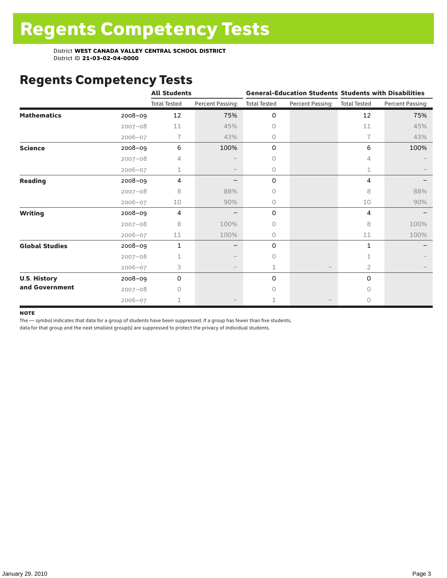# Regents Competency Tests

|                       |             | <b>All Students</b> |                  |                     | <b>General-Education Students Students with Disabilities</b> |                     |                  |
|-----------------------|-------------|---------------------|------------------|---------------------|--------------------------------------------------------------|---------------------|------------------|
|                       |             | <b>Total Tested</b> | Percent Passing: | <b>Total Tested</b> | Percent Passing:                                             | <b>Total Tested</b> | Percent Passing: |
| <b>Mathematics</b>    | 2008-09     | 12                  | 75%              | 0                   |                                                              | 12                  | 75%              |
|                       | $2007 - 08$ | 11                  | 45%              | 0                   |                                                              | 11                  | 45%              |
|                       | 2006-07     | 7                   | 43%              | 0                   |                                                              | $\overline{1}$      | 43%              |
| <b>Science</b>        | 2008-09     | 6                   | 100%             | 0                   |                                                              | 6                   | 100%             |
|                       | $2007 - 08$ | 4                   |                  | 0                   |                                                              | 4                   |                  |
|                       | $2006 - 07$ | 1                   |                  | 0                   |                                                              | 1                   |                  |
| <b>Reading</b>        | 2008-09     | 4                   |                  | 0                   |                                                              | 4                   |                  |
|                       | $2007 - 08$ | 8                   | 88%              | 0                   |                                                              | 8                   | 88%              |
|                       | $2006 - 07$ | 10                  | 90%              | 0                   |                                                              | 10                  | 90%              |
| <b>Writing</b>        | 2008-09     | 4                   |                  | 0                   |                                                              | 4                   |                  |
|                       | $2007 - 08$ | 8                   | 100%             | 0                   |                                                              | 8                   | 100%             |
|                       | $2006 - 07$ | 11                  | 100%             | 0                   |                                                              | 11                  | 100%             |
| <b>Global Studies</b> | 2008-09     | $\mathbf{1}$        |                  | 0                   |                                                              | 1                   |                  |
|                       | $2007 - 08$ | 1                   |                  | 0                   |                                                              |                     |                  |
|                       | $2006 - 07$ | 3                   |                  | 1                   |                                                              | 2                   |                  |
| <b>U.S. History</b>   | 2008-09     | 0                   |                  | 0                   |                                                              | 0                   |                  |
| and Government        | $2007 - 08$ | Ω                   |                  | Ω                   |                                                              | U                   |                  |
|                       | $2006 - 07$ | 1                   |                  |                     |                                                              | $\Omega$            |                  |

#### **NOTE**

The — symbol indicates that data for a group of students have been suppressed. If a group has fewer than five students,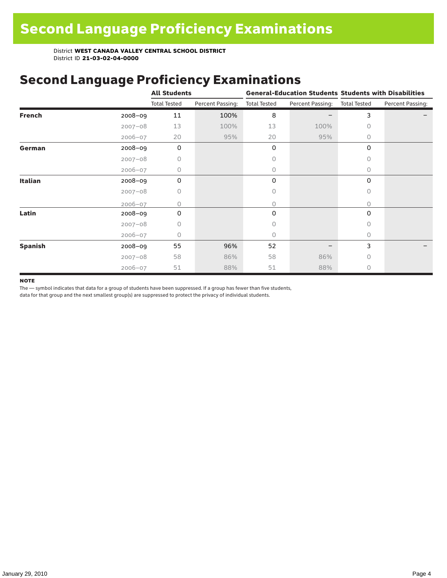## Second Language Proficiency Examinations

|                |             | <b>All Students</b> |                  |                     |                  | <b>General-Education Students Students with Disabilities</b> |                  |  |  |
|----------------|-------------|---------------------|------------------|---------------------|------------------|--------------------------------------------------------------|------------------|--|--|
|                |             | <b>Total Tested</b> | Percent Passing: | <b>Total Tested</b> | Percent Passing: | <b>Total Tested</b>                                          | Percent Passing: |  |  |
| <b>French</b>  | 2008-09     | 11                  | 100%             | 8                   |                  | 3                                                            |                  |  |  |
|                | $2007 - 08$ | 13                  | 100%             | 13                  | 100%             | 0                                                            |                  |  |  |
|                | $2006 - 07$ | 20                  | 95%              | 20                  | 95%              | $\circ$                                                      |                  |  |  |
| German         | 2008-09     | $\mathbf 0$         |                  | 0                   |                  | 0                                                            |                  |  |  |
|                | $2007 - 08$ | 0                   |                  | 0                   |                  | 0                                                            |                  |  |  |
|                | $2006 - 07$ | 0                   |                  | 0                   |                  | $\Omega$                                                     |                  |  |  |
| <b>Italian</b> | $2008 - 09$ | 0                   |                  | 0                   |                  | 0                                                            |                  |  |  |
|                | $2007 - 08$ | 0                   |                  | 0                   |                  | $\Omega$                                                     |                  |  |  |
|                | $2006 - 07$ | O                   |                  | 0                   |                  | 0                                                            |                  |  |  |
| Latin          | $2008 - 09$ | $\Omega$            |                  | 0                   |                  | 0                                                            |                  |  |  |
|                | $2007 - 08$ | 0                   |                  | 0                   |                  | $\Omega$                                                     |                  |  |  |
|                | $2006 - 07$ | 0                   |                  | 0                   |                  | 0                                                            |                  |  |  |
| <b>Spanish</b> | 2008-09     | 55                  | 96%              | 52                  |                  | 3                                                            |                  |  |  |
|                | $2007 - 08$ | 58                  | 86%              | 58                  | 86%              | $\Omega$                                                     |                  |  |  |
|                | $2006 - 07$ | 51                  | 88%              | 51                  | 88%              | $\circ$                                                      |                  |  |  |

#### **NOTE**

The — symbol indicates that data for a group of students have been suppressed. If a group has fewer than five students,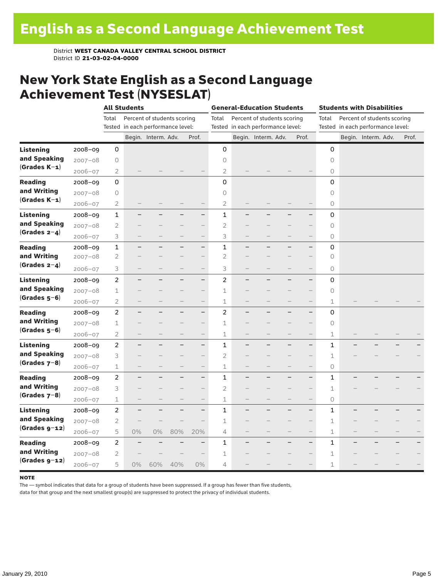### New York State English as a Second Language Achievement Test (NYSESLAT)

|                  |             |                | <b>All Students</b>               |                             |                   |                          | <b>General-Education Students</b> |                          |                                   |                          |                          | <b>Students with Disabilities</b> |                          |                                   |  |       |  |
|------------------|-------------|----------------|-----------------------------------|-----------------------------|-------------------|--------------------------|-----------------------------------|--------------------------|-----------------------------------|--------------------------|--------------------------|-----------------------------------|--------------------------|-----------------------------------|--|-------|--|
|                  |             | Total          |                                   | Percent of students scoring |                   |                          | Total                             |                          | Percent of students scoring       |                          |                          | Total                             |                          | Percent of students scoring       |  |       |  |
|                  |             |                | Tested in each performance level: |                             |                   |                          |                                   |                          | Tested in each performance level: |                          |                          |                                   |                          | Tested in each performance level: |  |       |  |
|                  |             |                |                                   | Begin. Interm. Adv.         |                   | Prof.                    |                                   |                          | Begin. Interm. Adv.               |                          | Prof.                    |                                   |                          | Begin. Interm. Adv.               |  | Prof. |  |
| <b>Listening</b> | 2008-09     | 0              |                                   |                             |                   |                          | 0                                 |                          |                                   |                          |                          | $\mathbf 0$                       |                          |                                   |  |       |  |
| and Speaking     | $2007 - 08$ | 0              |                                   |                             |                   |                          | 0                                 |                          |                                   |                          |                          | 0                                 |                          |                                   |  |       |  |
| $(Grades K-1)$   | $2006 - 07$ | 2              |                                   |                             |                   |                          | 2                                 |                          |                                   |                          |                          | 0                                 |                          |                                   |  |       |  |
| <b>Reading</b>   | $2008 - 09$ | 0              |                                   |                             |                   |                          | 0                                 |                          |                                   |                          |                          | 0                                 |                          |                                   |  |       |  |
| and Writing      | $2007 - 08$ | 0              |                                   |                             |                   |                          | 0                                 |                          |                                   |                          |                          | $\circledcirc$                    |                          |                                   |  |       |  |
| $(Grades K-1)$   | $2006 - 07$ | $\overline{2}$ |                                   |                             |                   |                          | $\overline{2}$                    |                          |                                   |                          |                          | $\circlearrowright$               |                          |                                   |  |       |  |
| <b>Listening</b> | 2008-09     | $\mathbf 1$    |                                   |                             |                   | $\overline{\phantom{0}}$ | $\mathbf{1}$                      |                          |                                   |                          | $\overline{\phantom{0}}$ | 0                                 |                          |                                   |  |       |  |
| and Speaking     | $2007 - 08$ | 2              |                                   |                             |                   | $\overline{\phantom{0}}$ | $\overline{2}$                    |                          |                                   |                          | $\qquad \qquad -$        | $\circ$                           |                          |                                   |  |       |  |
| (Grades $2-4$ )  | $2006 - 07$ | 3              |                                   |                             |                   | $\qquad \qquad -$        | 3                                 | $\qquad \qquad -$        |                                   | $\overline{\phantom{0}}$ | $\overline{\phantom{0}}$ | $\circ$                           |                          |                                   |  |       |  |
| <b>Reading</b>   | $2008 - 09$ | $\mathbf 1$    |                                   |                             |                   | $\overline{\phantom{0}}$ | $\mathbf 1$                       |                          |                                   |                          | $\overline{\phantom{0}}$ | 0                                 |                          |                                   |  |       |  |
| and Writing      | $2007 - 08$ | 2              |                                   |                             |                   | $\overline{\phantom{0}}$ | $\overline{2}$                    |                          |                                   |                          | $\overline{\phantom{0}}$ | $\circ$                           |                          |                                   |  |       |  |
| (Grades $2-4$ )  | $2006 - 07$ | 3              | -                                 |                             | $\qquad \qquad -$ | $\overline{\phantom{0}}$ | 3                                 | $\qquad \qquad -$        |                                   | —                        | $\qquad \qquad -$        | 0                                 |                          |                                   |  |       |  |
| <b>Listening</b> | $2008 - 09$ | $\overline{c}$ |                                   |                             |                   | $\overline{\phantom{0}}$ | $\overline{c}$                    |                          |                                   | ▃                        | $\overline{\phantom{0}}$ | 0                                 |                          |                                   |  |       |  |
| and Speaking     | $2007 - 08$ | 1              |                                   |                             |                   | $\overline{\phantom{0}}$ | $\mathbf{1}$                      |                          |                                   |                          | $\overline{\phantom{0}}$ | $\circ$                           |                          |                                   |  |       |  |
| $(Grades 5-6)$   | $2006 - 07$ | $\overline{2}$ |                                   |                             |                   |                          | 1                                 |                          |                                   |                          |                          | $\mathbf 1$                       |                          |                                   |  |       |  |
| <b>Reading</b>   | 2008-09     | $\overline{c}$ | ÷,                                |                             | -                 | $\overline{\phantom{0}}$ | $\overline{c}$                    | $\overline{\phantom{0}}$ |                                   | ÷,                       | $\overline{\phantom{0}}$ | 0                                 |                          |                                   |  |       |  |
| and Writing      | $2007 - 08$ | 1              |                                   |                             |                   |                          | 1                                 |                          |                                   |                          |                          | $\circ$                           |                          |                                   |  |       |  |
| $(Grades 5-6)$   | $2006 - 07$ | $\overline{2}$ |                                   |                             |                   | $\qquad \qquad -$        | $\mathbf 1$                       | $\qquad \qquad -$        |                                   | $\overline{\phantom{0}}$ | $\qquad \qquad -$        | $\mathbbm{1}$                     |                          |                                   |  |       |  |
| <b>Listening</b> | 2008-09     | $\overline{2}$ |                                   |                             |                   | $\qquad \qquad -$        | $\mathbf{1}$                      |                          |                                   |                          | $\overline{\phantom{0}}$ | 1                                 |                          |                                   |  |       |  |
| and Speaking     | $2007 - 08$ | 3              |                                   |                             |                   | $-$                      | 2                                 |                          |                                   |                          | $\overline{\phantom{0}}$ | 1                                 |                          |                                   |  |       |  |
| $(Grades 7-8)$   | $2006 - 07$ | 1              |                                   |                             | $\qquad \qquad -$ | $\qquad \qquad -$        | 1                                 | $\qquad \qquad -$        |                                   | -                        | $\qquad \qquad -$        | 0                                 |                          |                                   |  |       |  |
| <b>Reading</b>   | $2008 - 09$ | $\overline{2}$ |                                   |                             |                   | $\overline{\phantom{0}}$ | $\mathbf{1}$                      |                          |                                   | L,                       | $\overline{\phantom{0}}$ | 1                                 |                          |                                   |  |       |  |
| and Writing      | $2007 - 08$ | 3              |                                   |                             |                   |                          | $\overline{c}$                    |                          |                                   |                          |                          | $\mathbf 1$                       |                          |                                   |  |       |  |
| $(Grades 7-8)$   | $2006 - 07$ | 1              |                                   |                             |                   |                          | $\mathbf 1$                       |                          |                                   |                          |                          | $\circ$                           |                          |                                   |  |       |  |
| <b>Listening</b> | 2008-09     | $\overline{2}$ | -                                 |                             | -                 | $\qquad \qquad -$        | $\mathbf{1}$                      |                          |                                   | ÷,                       | $\qquad \qquad -$        | 1                                 |                          |                                   |  |       |  |
| and Speaking     | $2007 - 08$ | $\overline{2}$ |                                   |                             |                   | $\qquad \qquad -$        | 1                                 |                          |                                   |                          | $\qquad \qquad -$        | 1                                 |                          |                                   |  |       |  |
| $(Grades g-12)$  | $2006 - 07$ | 5              | $0\%$                             | 0%                          | 80%               | 20%                      | 4                                 |                          | $\overline{\phantom{0}}$          |                          | $\qquad \qquad -$        | 1                                 | $\overline{\phantom{0}}$ |                                   |  |       |  |
| <b>Reading</b>   | 2008-09     | 2              |                                   |                             |                   | -                        | 1                                 |                          |                                   |                          | $\overline{\phantom{0}}$ | 1                                 |                          |                                   |  |       |  |
| and Writing      | $2007 - 08$ | 2              |                                   |                             |                   |                          | 1                                 |                          |                                   |                          | $\qquad \qquad -$        | $\mathbf 1$                       |                          |                                   |  |       |  |
| $(Grades g-12)$  | $2006 - 07$ | 5              | 0%                                | 60%                         | 40%               | 0%                       | 4                                 |                          |                                   |                          |                          | 1                                 |                          |                                   |  |       |  |

#### **NOTE**

The — symbol indicates that data for a group of students have been suppressed. If a group has fewer than five students,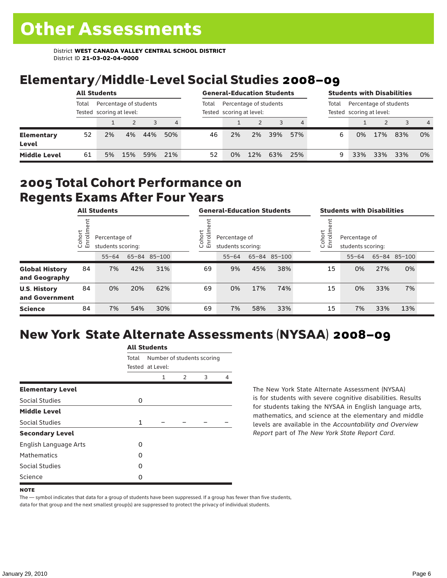# Elementary/Middle-Level Social Studies 2008–09

|                            | <b>All Students</b> |                                                    |     |     |       | <b>General-Education Students</b>                  |    |     |     |       | <b>Students with Disabilities</b>                  |     |     |     |                |
|----------------------------|---------------------|----------------------------------------------------|-----|-----|-------|----------------------------------------------------|----|-----|-----|-------|----------------------------------------------------|-----|-----|-----|----------------|
|                            | Total               | Percentage of students<br>Tested scoring at level: |     |     | Total | Percentage of students<br>Tested scoring at level: |    |     |     | Total | Percentage of students<br>Tested scoring at level: |     |     |     |                |
|                            |                     |                                                    |     |     | 4     |                                                    |    |     |     |       |                                                    |     |     | 3   | $\overline{4}$ |
| <b>Elementary</b><br>Level | 52                  | 2%                                                 | 4%  | 44% | 50%   | 46                                                 | 2% | 2%  | 39% | 57%   | 6                                                  | 0%  | 17% | 83% | 0%             |
| <b>Middle Level</b>        | 61                  | 5%                                                 | 15% | 59% | 21%   | 52                                                 | 0% | 12% | 63% | 25%   |                                                    | 33% | 33% | 33% | 0%             |

### 2005 Total Cohort Performance on Regents Exams After Four Years

|                                        | <b>All Students</b>    |           |                                                    |     |  | <b>General-Education Students</b>                          |           |     |              |  | <b>Students with Disabilities</b>                           |           |     |              |  |
|----------------------------------------|------------------------|-----------|----------------------------------------------------|-----|--|------------------------------------------------------------|-----------|-----|--------------|--|-------------------------------------------------------------|-----------|-----|--------------|--|
|                                        | Cohort<br>$\circ$<br>面 |           | Percentage of<br>students scoring:<br>65-84 85-100 |     |  | Cohort<br>rolln<br>Percentage of<br>띧<br>students scoring: |           |     |              |  | Cohort<br>⋍<br>Percentage of<br>5<br>문<br>students scoring: |           |     |              |  |
|                                        |                        | $55 - 64$ |                                                    |     |  |                                                            | $55 - 64$ |     | 65-84 85-100 |  |                                                             | $55 - 64$ |     | 65-84 85-100 |  |
| <b>Global History</b><br>and Geography | 84                     | 7%        | 42%                                                | 31% |  | 69                                                         | 9%        | 45% | 38%          |  | 15                                                          | 0%        | 27% | 0%           |  |
| <b>U.S. History</b><br>and Government  | 84                     | 0%        | 20%                                                | 62% |  | 69                                                         | 0%        | 17% | 74%          |  | 15                                                          | 0%        | 33% | 7%           |  |
| <b>Science</b>                         | 84                     | 7%        | 54%                                                | 30% |  | 69                                                         | 7%        | 58% | 33%          |  | 15                                                          | 7%        | 33% | 13%          |  |

# New York State Alternate Assessments (NYSAA) 2008–09

|                         | <b>All Students</b> |                                                |               |   |   |  |  |  |
|-------------------------|---------------------|------------------------------------------------|---------------|---|---|--|--|--|
|                         | Total               | Number of students scoring<br>Tested at Level: |               |   |   |  |  |  |
|                         |                     | 1                                              | $\mathcal{P}$ | 3 | 4 |  |  |  |
| <b>Elementary Level</b> |                     |                                                |               |   |   |  |  |  |
| Social Studies          | 0                   |                                                |               |   |   |  |  |  |
| <b>Middle Level</b>     |                     |                                                |               |   |   |  |  |  |
| Social Studies          | $\mathbf{1}$        |                                                |               |   |   |  |  |  |
| <b>Secondary Level</b>  |                     |                                                |               |   |   |  |  |  |
| English Language Arts   | O                   |                                                |               |   |   |  |  |  |
| <b>Mathematics</b>      | O                   |                                                |               |   |   |  |  |  |
| Social Studies          | O                   |                                                |               |   |   |  |  |  |
| Science                 | 0                   |                                                |               |   |   |  |  |  |

The New York State Alternate Assessment (NYSAA) is for students with severe cognitive disabilities. Results for students taking the NYSAA in English language arts, mathematics, and science at the elementary and middle levels are available in the *Accountability and Overview Report* part of *The New York State Report Card*.

The — symbol indicates that data for a group of students have been suppressed. If a group has fewer than five students, data for that group and the next smallest group(s) are suppressed to protect the privacy of individual students.

**NOTE**